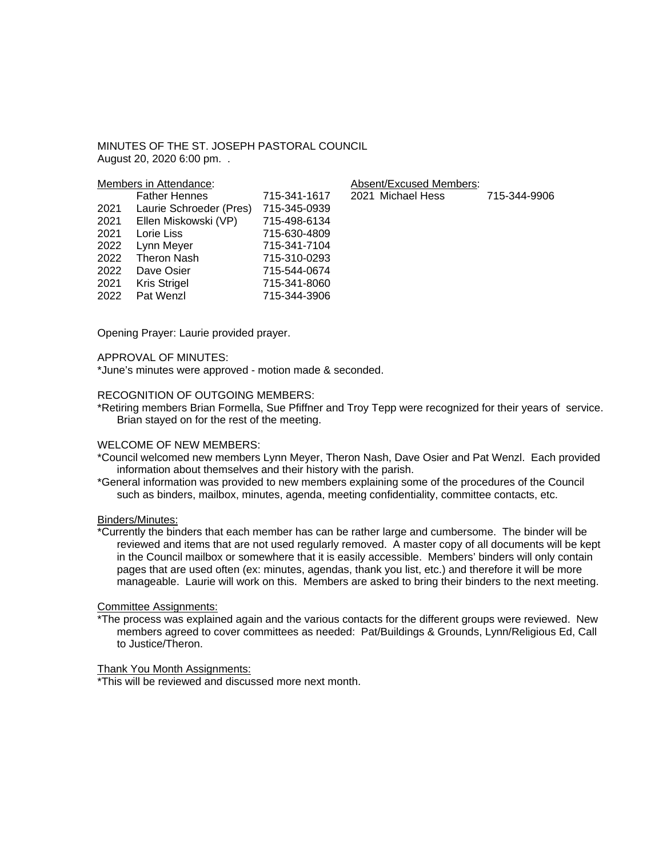MINUTES OF THE ST. JOSEPH PASTORAL COUNCIL August 20, 2020 6:00 pm. .

| Members in Attendance: |                         |              | Absent/Excused Members: |              |
|------------------------|-------------------------|--------------|-------------------------|--------------|
|                        | <b>Father Hennes</b>    | 715-341-1617 | 2021 Michael Hess       | 715-344-9906 |
| 2021                   | Laurie Schroeder (Pres) | 715-345-0939 |                         |              |
| 2021                   | Ellen Miskowski (VP)    | 715-498-6134 |                         |              |
| 2021                   | Lorie Liss              | 715-630-4809 |                         |              |
| 2022                   | Lynn Meyer              | 715-341-7104 |                         |              |
| 2022                   | <b>Theron Nash</b>      | 715-310-0293 |                         |              |
| 2022                   | Dave Osier              | 715-544-0674 |                         |              |
| 2021                   | Kris Strigel            | 715-341-8060 |                         |              |
| 2022                   | Pat Wenzl               | 715-344-3906 |                         |              |
|                        |                         |              |                         |              |

Opening Prayer: Laurie provided prayer.

## APPROVAL OF MINUTES:

\*June's minutes were approved - motion made & seconded.

# RECOGNITION OF OUTGOING MEMBERS:

\*Retiring members Brian Formella, Sue Pfiffner and Troy Tepp were recognized for their years of service. Brian stayed on for the rest of the meeting.

#### WELCOME OF NEW MEMBERS:

- \*Council welcomed new members Lynn Meyer, Theron Nash, Dave Osier and Pat Wenzl. Each provided information about themselves and their history with the parish.
- \*General information was provided to new members explaining some of the procedures of the Council such as binders, mailbox, minutes, agenda, meeting confidentiality, committee contacts, etc.

## Binders/Minutes:

\*Currently the binders that each member has can be rather large and cumbersome. The binder will be reviewed and items that are not used regularly removed. A master copy of all documents will be kept in the Council mailbox or somewhere that it is easily accessible. Members' binders will only contain pages that are used often (ex: minutes, agendas, thank you list, etc.) and therefore it will be more manageable. Laurie will work on this. Members are asked to bring their binders to the next meeting.

## Committee Assignments:

\*The process was explained again and the various contacts for the different groups were reviewed. New members agreed to cover committees as needed: Pat/Buildings & Grounds, Lynn/Religious Ed, Call to Justice/Theron.

### Thank You Month Assignments:

\*This will be reviewed and discussed more next month.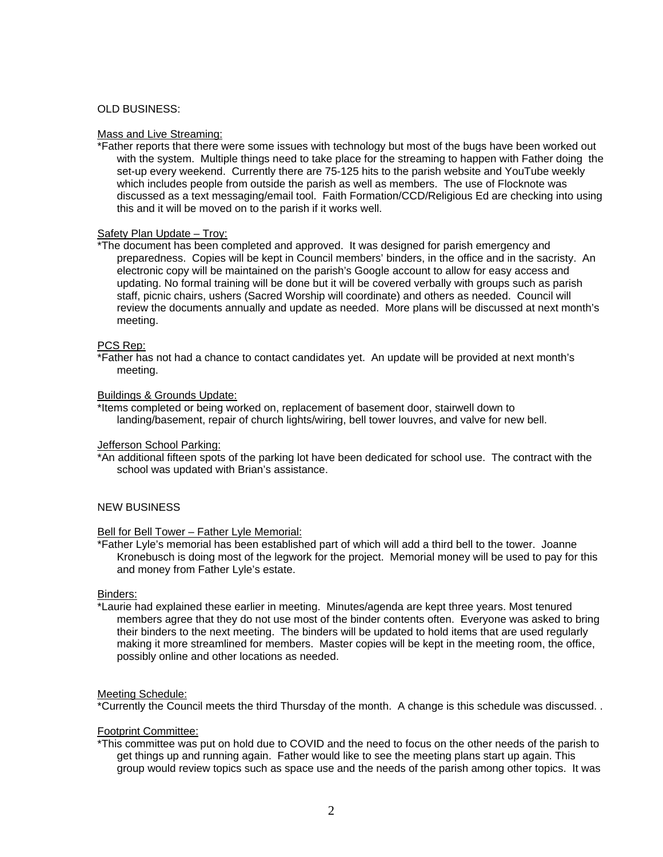## OLD BUSINESS:

### Mass and Live Streaming:

\*Father reports that there were some issues with technology but most of the bugs have been worked out with the system. Multiple things need to take place for the streaming to happen with Father doing the set-up every weekend. Currently there are 75-125 hits to the parish website and YouTube weekly which includes people from outside the parish as well as members. The use of Flocknote was discussed as a text messaging/email tool. Faith Formation/CCD/Religious Ed are checking into using this and it will be moved on to the parish if it works well.

### Safety Plan Update – Troy:

\*The document has been completed and approved. It was designed for parish emergency and preparedness. Copies will be kept in Council members' binders, in the office and in the sacristy. An electronic copy will be maintained on the parish's Google account to allow for easy access and updating. No formal training will be done but it will be covered verbally with groups such as parish staff, picnic chairs, ushers (Sacred Worship will coordinate) and others as needed. Council will review the documents annually and update as needed. More plans will be discussed at next month's meeting.

## PCS Rep:

\*Father has not had a chance to contact candidates yet. An update will be provided at next month's meeting.

### Buildings & Grounds Update:

\*Items completed or being worked on, replacement of basement door, stairwell down to landing/basement, repair of church lights/wiring, bell tower louvres, and valve for new bell.

### Jefferson School Parking:

\*An additional fifteen spots of the parking lot have been dedicated for school use. The contract with the school was updated with Brian's assistance.

## NEW BUSINESS

#### Bell for Bell Tower – Father Lyle Memorial:

\*Father Lyle's memorial has been established part of which will add a third bell to the tower. Joanne Kronebusch is doing most of the legwork for the project. Memorial money will be used to pay for this and money from Father Lyle's estate.

#### Binders:

\*Laurie had explained these earlier in meeting. Minutes/agenda are kept three years. Most tenured members agree that they do not use most of the binder contents often. Everyone was asked to bring their binders to the next meeting. The binders will be updated to hold items that are used regularly making it more streamlined for members. Master copies will be kept in the meeting room, the office, possibly online and other locations as needed.

#### Meeting Schedule:

\*Currently the Council meets the third Thursday of the month. A change is this schedule was discussed. .

## Footprint Committee:

\*This committee was put on hold due to COVID and the need to focus on the other needs of the parish to get things up and running again. Father would like to see the meeting plans start up again. This group would review topics such as space use and the needs of the parish among other topics. It was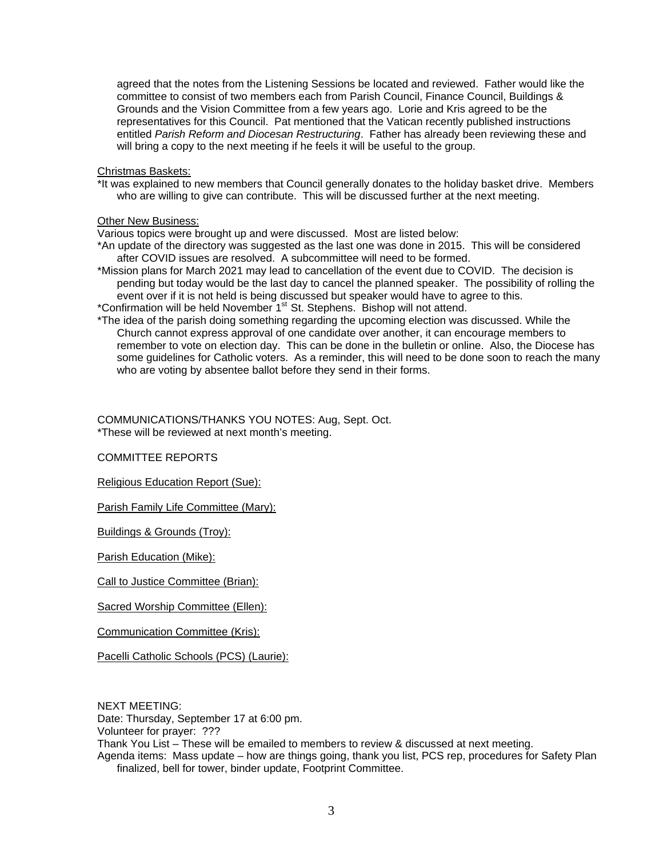agreed that the notes from the Listening Sessions be located and reviewed. Father would like the committee to consist of two members each from Parish Council, Finance Council, Buildings & Grounds and the Vision Committee from a few years ago. Lorie and Kris agreed to be the representatives for this Council. Pat mentioned that the Vatican recently published instructions entitled *Parish Reform and Diocesan Restructuring*. Father has already been reviewing these and will bring a copy to the next meeting if he feels it will be useful to the group.

### Christmas Baskets:

\*It was explained to new members that Council generally donates to the holiday basket drive. Members who are willing to give can contribute. This will be discussed further at the next meeting.

### Other New Business:

Various topics were brought up and were discussed. Most are listed below:

- \*An update of the directory was suggested as the last one was done in 2015. This will be considered after COVID issues are resolved. A subcommittee will need to be formed.
- \*Mission plans for March 2021 may lead to cancellation of the event due to COVID. The decision is pending but today would be the last day to cancel the planned speaker. The possibility of rolling the event over if it is not held is being discussed but speaker would have to agree to this. \*Confirmation will be held November 1<sup>st</sup> St. Stephens. Bishop will not attend.
- \*The idea of the parish doing something regarding the upcoming election was discussed. While the Church cannot express approval of one candidate over another, it can encourage members to remember to vote on election day. This can be done in the bulletin or online. Also, the Diocese has some guidelines for Catholic voters. As a reminder, this will need to be done soon to reach the many who are voting by absentee ballot before they send in their forms.

COMMUNICATIONS/THANKS YOU NOTES: Aug, Sept. Oct. \*These will be reviewed at next month's meeting.

#### COMMITTEE REPORTS

Religious Education Report (Sue):

Parish Family Life Committee (Mary):

Buildings & Grounds (Troy):

Parish Education (Mike):

Call to Justice Committee (Brian):

Sacred Worship Committee (Ellen):

Communication Committee (Kris):

Pacelli Catholic Schools (PCS) (Laurie):

NEXT MEETING:

Date: Thursday, September 17 at 6:00 pm.

Volunteer for prayer: ???

Thank You List – These will be emailed to members to review & discussed at next meeting.

Agenda items: Mass update – how are things going, thank you list, PCS rep, procedures for Safety Plan finalized, bell for tower, binder update, Footprint Committee.